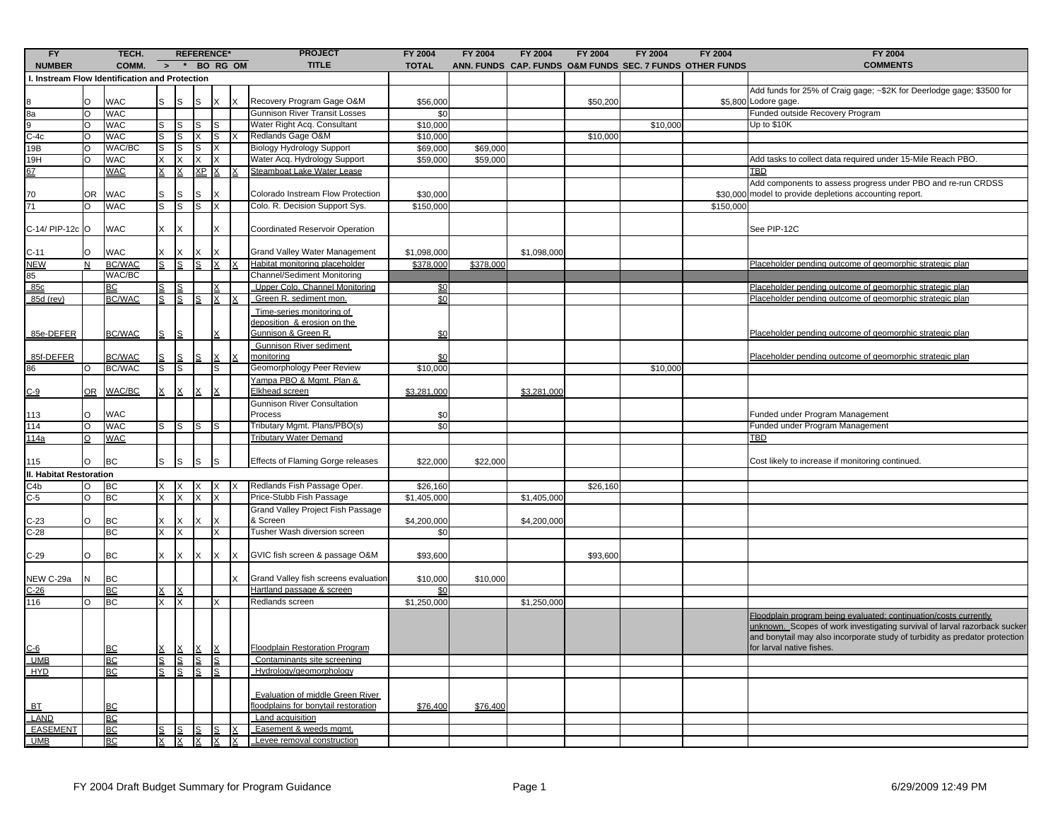| FY<br>TECH.                                                                        |           |                           |               |    |           | <b>REFERENCE*</b> |  | <b>PROJECT</b>                        | <b>FY 2004</b> | <b>FY 2004</b> | <b>FY 2004</b> | <b>FY 2004</b> | <b>FY 2004</b> | <b>FY 2004</b>                                           | <b>FY 2004</b>                                                              |
|------------------------------------------------------------------------------------|-----------|---------------------------|---------------|----|-----------|-------------------|--|---------------------------------------|----------------|----------------|----------------|----------------|----------------|----------------------------------------------------------|-----------------------------------------------------------------------------|
| <b>NUMBER</b>                                                                      |           | COMM.                     | $\rightarrow$ |    |           | * BO RG OM        |  | <b>TITLE</b>                          | <b>TOTAL</b>   |                |                |                |                | ANN. FUNDS CAP. FUNDS O&M FUNDS SEC. 7 FUNDS OTHER FUNDS | <b>COMMENTS</b>                                                             |
| I. Instream Flow Identification and Protection                                     |           |                           |               |    |           |                   |  |                                       |                |                |                |                |                |                                                          |                                                                             |
|                                                                                    |           |                           |               |    |           |                   |  |                                       |                |                |                |                |                |                                                          | Add funds for 25% of Craig gage; ~\$2K for Deerlodge gage; \$3500 for       |
| $\begin{array}{c}\n 8 \\ \hline\n 8a \\ \hline\n 9 \\ \hline\n 0-4c\n \end{array}$ | lo        | <b>WAC</b>                |               |    | S         |                   |  | Recovery Program Gage O&M             | \$56,000       |                |                | \$50,200       |                |                                                          | \$5,800 Lodore gage.                                                        |
|                                                                                    | ō         | <b>WAC</b>                |               |    |           |                   |  | <b>Gunnison River Transit Losses</b>  | \$0            |                |                |                |                |                                                          | Funded outside Recovery Program                                             |
|                                                                                    | O         | <b>WAC</b>                | s             | ls | S         |                   |  | Water Right Acq. Consultant           | \$10,000       |                |                |                | \$10,000       |                                                          | Up to \$10K                                                                 |
|                                                                                    | lo        | <b>WAC</b>                | s             | lS | X.        | S                 |  | Redlands Gage O&M                     | \$10,000       |                |                | \$10,000       |                |                                                          |                                                                             |
| 19B                                                                                | O         | WAC/BC                    | S             | S  | S         | х                 |  | <b>Biology Hydrology Support</b>      | \$69,000       | \$69,000       |                |                |                |                                                          |                                                                             |
| 19H                                                                                | lo        | <b>WAC</b>                | X.            | X  | X.        |                   |  | Water Acq. Hydrology Support          | \$59,000       | \$59,000       |                |                |                |                                                          | Add tasks to collect data required under 15-Mile Reach PBO.                 |
|                                                                                    |           | <b>WAC</b>                |               |    | <u>XP</u> |                   |  | Steamboat Lake Water Lease            |                |                |                |                |                |                                                          | TBD                                                                         |
|                                                                                    |           |                           |               |    |           |                   |  |                                       |                |                |                |                |                |                                                          | Add components to assess progress under PBO and re-run CRDSS                |
| 70                                                                                 | lOR.      | <b>WAC</b>                | S             | S  | S         |                   |  | Colorado Instream Flow Protection     | \$30,000       |                |                |                |                |                                                          | \$30,000 model to provide depletions accounting report.                     |
| 71                                                                                 | O         | <b>WAC</b>                | S             | S  | s         | X                 |  | Colo. R. Decision Support Sys.        | \$150,000      |                |                |                |                | \$150,000                                                |                                                                             |
|                                                                                    |           |                           |               |    |           |                   |  |                                       |                |                |                |                |                |                                                          |                                                                             |
| C-14/ PIP-12c O                                                                    |           | <b>WAC</b>                | X             | X  |           |                   |  | Coordinated Reservoir Operation       |                |                |                |                |                |                                                          | See PIP-12C                                                                 |
|                                                                                    |           |                           |               |    |           |                   |  |                                       |                |                |                |                |                |                                                          |                                                                             |
| $C-11$                                                                             | l0        | <b>WAC</b>                | X             |    |           |                   |  | Grand Valley Water Management         | \$1,098,000    |                | \$1,098,000    |                |                |                                                          |                                                                             |
| <b>NEW</b>                                                                         | N         | <b>BC/WAC</b>             | S             |    | S         |                   |  | Habitat monitoring placeholder        | \$378,000      | \$378,000      |                |                |                |                                                          | Placeholder pending outcome of geomorphic strategic plan                    |
| 85                                                                                 |           | WAC/BC                    |               |    |           |                   |  | Channel/Sediment Monitoring           |                |                |                |                |                |                                                          |                                                                             |
| 85c                                                                                |           | BC                        |               |    |           |                   |  | Upper Colo. Channel Monitoring        | \$0            |                |                |                |                |                                                          | Placeholder pending outcome of geomorphic strategic plan                    |
| 85d (rev)                                                                          |           | <b>BC/WAC</b>             | S             | S  | S         |                   |  | Green R. sediment mon.                | \$0            |                |                |                |                |                                                          | Placeholder pending outcome of geomorphic strategic plan                    |
|                                                                                    |           |                           |               |    |           |                   |  | Time-series monitoring of             |                |                |                |                |                |                                                          |                                                                             |
|                                                                                    |           |                           |               |    |           |                   |  | deposition & erosion on the           |                |                |                |                |                |                                                          |                                                                             |
| 85e-DEFER                                                                          |           | <b>BC/WAC</b>             |               |    |           |                   |  | <u>Gunnison &amp; Green R.</u>        | \$0            |                |                |                |                |                                                          | Placeholder pending outcome of geomorphic strategic plan                    |
|                                                                                    |           |                           |               |    |           |                   |  | Gunnison River sediment               |                |                |                |                |                |                                                          |                                                                             |
| 85f-DEFER                                                                          |           | <b>BC/WAC</b>             |               |    |           |                   |  | monitoring                            | \$0            |                |                |                |                |                                                          | Placeholder pending outcome of geomorphic strategic plan                    |
| 86                                                                                 |           | BC/WAC                    | s             | lS |           | S                 |  | Geomorphology Peer Review             | \$10,000       |                |                |                | \$10,000       |                                                          |                                                                             |
|                                                                                    |           |                           |               |    |           |                   |  | Yampa PBO & Mgmt. Plan &              |                |                |                |                |                |                                                          |                                                                             |
| <u>C-9</u>                                                                         | <b>OR</b> | WAC/BC                    |               |    |           |                   |  | Elkhead screen                        | \$3,281,000    |                | \$3,281,000    |                |                |                                                          |                                                                             |
|                                                                                    |           |                           |               |    |           |                   |  | <b>Gunnison River Consultation</b>    |                |                |                |                |                |                                                          |                                                                             |
| 113                                                                                | O         | <b>WAC</b>                |               |    |           |                   |  | Process                               | \$0            |                |                |                |                |                                                          | Funded under Program Management                                             |
| 114                                                                                | O         | WAC                       | s             | S  | s         |                   |  | Tributary Mgmt. Plans/PBO(s)          | \$0            |                |                |                |                |                                                          | Funded under Program Management                                             |
| <u> 114a</u>                                                                       | $\circ$   | <b>WAC</b>                |               |    |           |                   |  | <b>Tributary Water Demand</b>         |                |                |                |                |                |                                                          | <u>TBD</u>                                                                  |
|                                                                                    |           |                           |               |    |           |                   |  |                                       |                |                |                |                |                |                                                          |                                                                             |
| 115                                                                                | O         | <b>BC</b>                 | S             | S  | S         |                   |  | Effects of Flaming Gorge releases     | \$22,000       | \$22,000       |                |                |                |                                                          | Cost likely to increase if monitoring continued.                            |
| <b>II. Habitat Restoration</b>                                                     |           |                           |               |    |           |                   |  |                                       |                |                |                |                |                |                                                          |                                                                             |
| -4b                                                                                | O         | <b>BC</b>                 |               | X  | X.        | X                 |  | Redlands Fish Passage Oper.           | \$26,160       |                |                | \$26,160       |                |                                                          |                                                                             |
| $C-5$                                                                              | $\circ$   | <b>BC</b>                 | x             | X  | X.        | X                 |  | Price-Stubb Fish Passage              | \$1,405,000    |                | \$1,405,000    |                |                |                                                          |                                                                             |
|                                                                                    |           |                           |               |    |           |                   |  | Grand Valley Project Fish Passage     |                |                |                |                |                |                                                          |                                                                             |
| $C-23$                                                                             | O         | <b>BC</b>                 | X             |    |           |                   |  | & Screen                              | \$4,200,000    |                | \$4,200,000    |                |                |                                                          |                                                                             |
| $C-28$                                                                             |           | ВC                        | X.            | X  |           | x                 |  | Tusher Wash diversion screen          | \$0            |                |                |                |                |                                                          |                                                                             |
|                                                                                    |           |                           |               |    |           |                   |  |                                       |                |                |                |                |                |                                                          |                                                                             |
| $C-29$                                                                             |           | <b>BC</b>                 | X.            | x  | x         | X                 |  | GVIC fish screen & passage O&M        | \$93,600       |                |                | \$93,600       |                |                                                          |                                                                             |
|                                                                                    |           |                           |               |    |           |                   |  |                                       |                |                |                |                |                |                                                          |                                                                             |
| NEW C-29a                                                                          |           | <b>BC</b>                 |               |    |           |                   |  | Grand Valley fish screens evaluation  | \$10,000       | \$10,000       |                |                |                |                                                          |                                                                             |
| $C-26$                                                                             |           | BC                        | X             |    |           |                   |  | Hartland passage & screen             | \$0            |                |                |                |                |                                                          |                                                                             |
| 116                                                                                |           | <b>BC</b>                 | X             | X  |           |                   |  | Redlands screen                       | \$1,250,000    |                | \$1,250,000    |                |                |                                                          |                                                                             |
|                                                                                    |           |                           |               |    |           |                   |  |                                       |                |                |                |                |                |                                                          | Floodplain program being evaluated; continuation/costs currently            |
|                                                                                    |           |                           |               |    |           |                   |  |                                       |                |                |                |                |                |                                                          | unknown Scopes of work investigating survival of larval razorback sucker    |
|                                                                                    |           |                           |               |    |           |                   |  |                                       |                |                |                |                |                |                                                          | and bonytail may also incorporate study of turbidity as predator protection |
| <u>C-6</u><br>UMB                                                                  |           | $\underline{\mathsf{BC}}$ |               |    |           |                   |  | <b>Floodplain Restoration Program</b> |                |                |                |                |                |                                                          | for larval native fishes.                                                   |
|                                                                                    |           | <b>BC</b>                 | S             | S  | S         | S                 |  | Contaminants site screening           |                |                |                |                |                |                                                          |                                                                             |
| <b>HYD</b>                                                                         |           | <b>BC</b>                 | S             | ls | s         | S                 |  | Hydrology/geomorphology               |                |                |                |                |                |                                                          |                                                                             |
|                                                                                    |           |                           |               |    |           |                   |  |                                       |                |                |                |                |                |                                                          |                                                                             |
|                                                                                    |           |                           |               |    |           |                   |  | Evaluation of middle Green River      |                |                |                |                |                |                                                          |                                                                             |
| <b>BT</b>                                                                          |           | <b>BC</b>                 |               |    |           |                   |  | loodplains for bonytail restoration   | \$76,400       | \$76,400       |                |                |                |                                                          |                                                                             |
| LAND                                                                               |           | <b>BC</b>                 |               |    |           |                   |  | Land acquisition                      |                |                |                |                |                |                                                          |                                                                             |
| <b>EASEMENT</b>                                                                    |           | BC                        |               | S  | ≗         | <u>s</u>          |  | Easement & weeds mgmt.                |                |                |                |                |                |                                                          |                                                                             |
| <b>UMB</b>                                                                         |           | <b>BC</b>                 |               |    |           | <u>XXXXXX</u>     |  | Levee removal construction            |                |                |                |                |                |                                                          |                                                                             |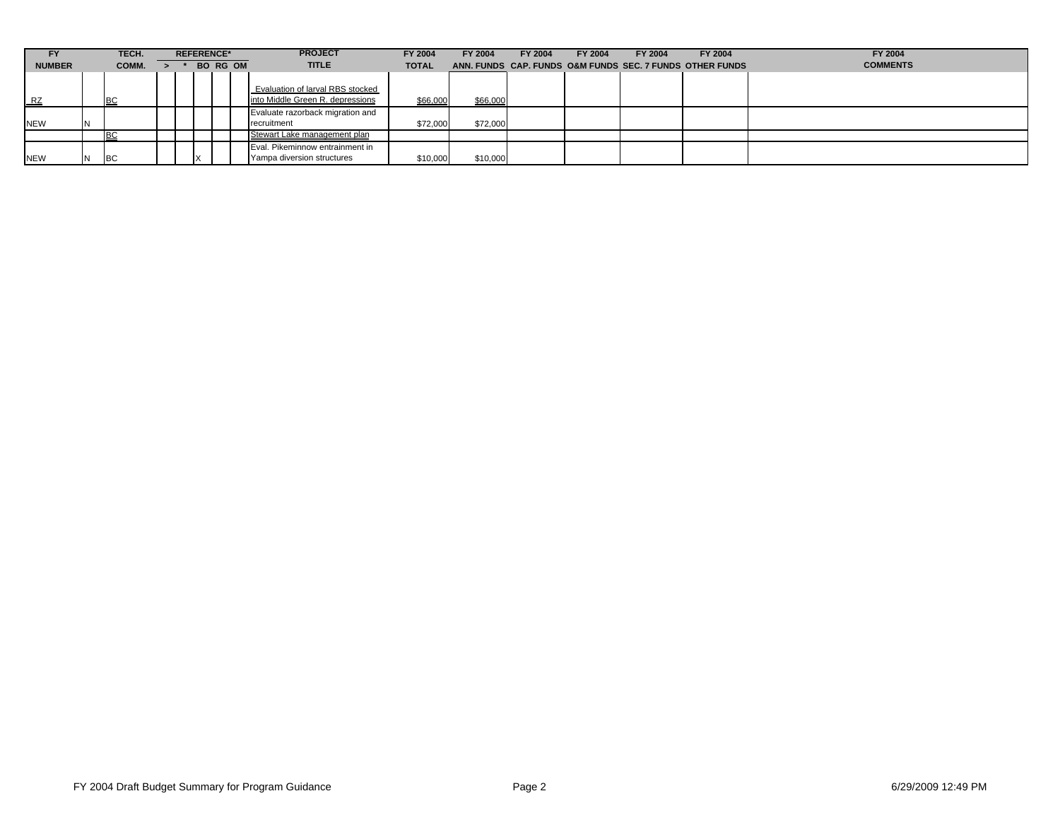| FY            |   | TECH.     | <b>REFERENCE*</b> |                 |  |  | <b>PROJECT</b>                                                       | FY 2004      | FY 2004  | FY 2004 | FY 2004 | FY 2004 | FY 2004                                                  | FY 2004         |
|---------------|---|-----------|-------------------|-----------------|--|--|----------------------------------------------------------------------|--------------|----------|---------|---------|---------|----------------------------------------------------------|-----------------|
| <b>NUMBER</b> |   | COMM.     |                   | <b>BO RG OM</b> |  |  | <b>TITLE</b>                                                         | <b>TOTAL</b> |          |         |         |         | ANN, FUNDS CAP, FUNDS O&M FUNDS SEC, 7 FUNDS OTHER FUNDS | <b>COMMENTS</b> |
| $L_{\rm RZ}$  |   | IBC       |                   |                 |  |  | Evaluation of larval RBS stocked<br>into Middle Green R. depressions | \$66,000     | \$66,000 |         |         |         |                                                          |                 |
| <b>NEW</b>    | M |           |                   |                 |  |  | Evaluate razorback migration and<br>recruitment                      | \$72,000     | \$72,000 |         |         |         |                                                          |                 |
|               |   | BC        |                   |                 |  |  | Stewart Lake management plan                                         |              |          |         |         |         |                                                          |                 |
| <b>NEW</b>    |   | <b>BC</b> |                   |                 |  |  | Eval. Pikeminnow entrainment in<br>Yampa diversion structures        | \$10,000     | \$10,000 |         |         |         |                                                          |                 |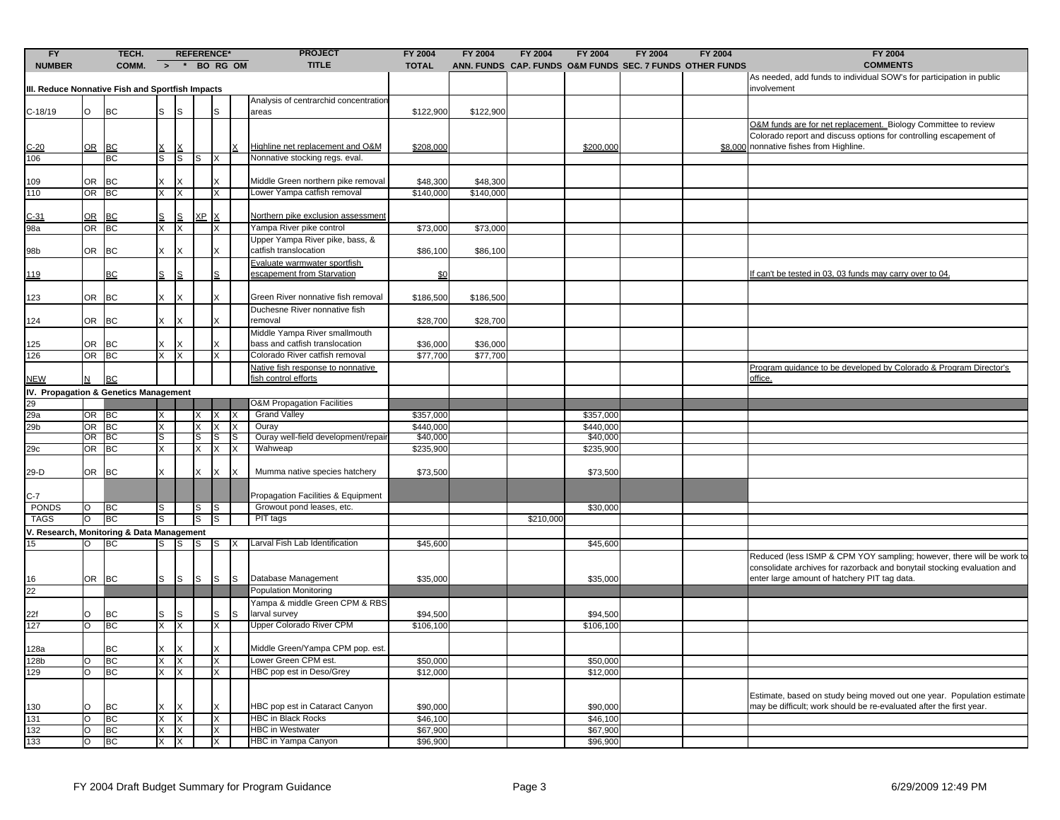| FY<br><b>NUMBER</b>                              |         | TECH.<br><b>REFERENCE*</b><br>$\rightarrow$ * BO RG OM<br>COMM. |               | <b>PROJECT</b><br><b>TITLE</b> | FY 2004<br><b>TOTAL</b> | <b>FY 2004</b> | <b>FY 2004</b> | FY 2004                                                         | FY 2004              | FY 2004<br>ANN. FUNDS CAP. FUNDS O&M FUNDS SEC. 7 FUNDS OTHER FUNDS | FY 2004<br><b>COMMENTS</b> |                      |  |  |                                                                                                                                                                                |
|--------------------------------------------------|---------|-----------------------------------------------------------------|---------------|--------------------------------|-------------------------|----------------|----------------|-----------------------------------------------------------------|----------------------|---------------------------------------------------------------------|----------------------------|----------------------|--|--|--------------------------------------------------------------------------------------------------------------------------------------------------------------------------------|
| III. Reduce Nonnative Fish and Sportfish Impacts |         |                                                                 |               |                                |                         |                |                |                                                                 |                      |                                                                     |                            |                      |  |  | As needed, add funds to individual SOW's for participation in public<br>involvement                                                                                            |
| C-18/19                                          | O       | <b>BC</b>                                                       | S             | ls                             |                         | $\mathbf{s}$   |                | Analysis of centrarchid concentration<br>areas                  | \$122,900            | \$122,900                                                           |                            |                      |  |  |                                                                                                                                                                                |
| $C-20$                                           | $OR$ BC |                                                                 |               |                                |                         |                |                | Highline net replacement and O&M                                | \$208,000            |                                                                     |                            | \$200,000            |  |  | O&M funds are for net replacement. Biology Committee to review<br>Colorado report and discuss options for controlling escapement of<br>\$8,000 nonnative fishes from Highline. |
| 106                                              |         | BC                                                              | S             | ls                             | S                       | X              |                | Nonnative stocking regs. eval.                                  |                      |                                                                     |                            |                      |  |  |                                                                                                                                                                                |
| 109                                              |         | OR BC                                                           |               |                                |                         |                |                | Middle Green northern pike removal                              | \$48,300             | \$48,300                                                            |                            |                      |  |  |                                                                                                                                                                                |
| 110                                              | OR BC   |                                                                 | X             | X                              |                         | X              |                | Lower Yampa catfish removal                                     | \$140,000            | \$140,000                                                           |                            |                      |  |  |                                                                                                                                                                                |
| $C-31$                                           | OR BC   |                                                                 |               | S                              | ХP                      | X              |                | Northern pike exclusion assessment                              |                      |                                                                     |                            |                      |  |  |                                                                                                                                                                                |
| 98a                                              | OR BC   |                                                                 | X             | X                              |                         | X              |                | Yampa River pike control                                        | \$73,000             | \$73,000                                                            |                            |                      |  |  |                                                                                                                                                                                |
| 98b                                              |         | OR BC                                                           |               |                                |                         | x              |                | Upper Yampa River pike, bass, &<br>catfish translocation        | \$86,100             | \$86,100                                                            |                            |                      |  |  |                                                                                                                                                                                |
| <u> 119</u>                                      |         | <b>BC</b>                                                       | S             | lS                             |                         | S              |                | Evaluate warmwater sportfish<br>escapement from Starvation      | \$0                  |                                                                     |                            |                      |  |  | f can't be tested in 03, 03 funds may carry over to 04.                                                                                                                        |
| 123                                              | OR BC   |                                                                 | X             |                                |                         | X              |                | Green River nonnative fish removal                              | \$186,500            | \$186,500                                                           |                            |                      |  |  |                                                                                                                                                                                |
| 124                                              | OR BC   |                                                                 | X             | X                              |                         | X              |                | Duchesne River nonnative fish<br>removal                        | \$28,700             | \$28,700                                                            |                            |                      |  |  |                                                                                                                                                                                |
|                                                  |         |                                                                 |               |                                |                         | X              |                | Middle Yampa River smallmouth<br>bass and catfish translocation |                      |                                                                     |                            |                      |  |  |                                                                                                                                                                                |
| 125<br>126                                       | OR BC   | OR BC                                                           | X             | Ιx                             |                         | X              |                | Colorado River catfish removal                                  | \$36,000<br>\$77,700 | \$36,000<br>\$77,700                                                |                            |                      |  |  |                                                                                                                                                                                |
|                                                  |         |                                                                 |               |                                |                         |                |                | Native fish response to nonnative                               |                      |                                                                     |                            |                      |  |  | Program guidance to be developed by Colorado & Program Director's                                                                                                              |
| <b>NEW</b>                                       |         | <b>BC</b>                                                       |               |                                |                         |                |                | fish control efforts                                            |                      |                                                                     |                            |                      |  |  | office.                                                                                                                                                                        |
| IV. Propagation & Genetics Management            |         |                                                                 |               |                                |                         |                |                |                                                                 |                      |                                                                     |                            |                      |  |  |                                                                                                                                                                                |
| 29                                               |         |                                                                 |               |                                |                         |                |                | <b>O&amp;M Propagation Facilities</b>                           |                      |                                                                     |                            |                      |  |  |                                                                                                                                                                                |
| 29a                                              | OR BC   |                                                                 |               |                                |                         | $X \mid X$     | X              | <b>Grand Valley</b>                                             | \$357,000            |                                                                     |                            | \$357,000            |  |  |                                                                                                                                                                                |
| 29b                                              | OR BC   |                                                                 | X             |                                | X                       | X              | X              | Ouray                                                           | \$440,000            |                                                                     |                            | \$440,000            |  |  |                                                                                                                                                                                |
|                                                  | OR BC   |                                                                 | S             |                                | S                       | S              |                | Ouray well-field development/repai                              | \$40,000             |                                                                     |                            | \$40,000             |  |  |                                                                                                                                                                                |
| 29c                                              | OR BC   |                                                                 | X.            |                                | X.                      | X              |                | Wahweap                                                         | \$235,900            |                                                                     |                            | \$235,900            |  |  |                                                                                                                                                                                |
| 29-D                                             | OR BC   |                                                                 | X.            |                                | X.                      | X              |                | Mumma native species hatchery                                   | \$73,500             |                                                                     |                            | \$73,500             |  |  |                                                                                                                                                                                |
| $C-7$                                            |         |                                                                 |               |                                |                         |                |                | Propagation Facilities & Equipment                              |                      |                                                                     |                            |                      |  |  |                                                                                                                                                                                |
| PONDS                                            | O       | BC                                                              | S             |                                |                         | S S            |                | Growout pond leases, etc.                                       |                      |                                                                     |                            | \$30,000             |  |  |                                                                                                                                                                                |
| <b>TAGS</b>                                      | O       | <b>BC</b>                                                       |               |                                | S                       | lS             |                | PIT tags                                                        |                      |                                                                     | \$210,000                  |                      |  |  |                                                                                                                                                                                |
| V. Research, Monitoring & Data Management        | $\circ$ | <b>BC</b>                                                       | S             | ls                             | $\mathsf{ls}$           | $\mathsf{S}$   |                | Larval Fish Lab Identification                                  | \$45,600             |                                                                     |                            | \$45,600             |  |  |                                                                                                                                                                                |
| 15                                               |         |                                                                 |               |                                |                         |                |                |                                                                 |                      |                                                                     |                            |                      |  |  | Reduced (less ISMP & CPM YOY sampling; however, there will be work to<br>consolidate archives for razorback and bonytail stocking evaluation and                               |
| 16                                               | OR BC   |                                                                 | S             | ls                             | ls                      | ls             | <b>I</b> S     | Database Management                                             | \$35,000             |                                                                     |                            | \$35,000             |  |  | enter large amount of hatchery PIT tag data.                                                                                                                                   |
| 22                                               |         |                                                                 |               |                                |                         |                |                | Population Monitoring                                           |                      |                                                                     |                            |                      |  |  |                                                                                                                                                                                |
|                                                  |         |                                                                 |               |                                |                         |                |                | Yampa & middle Green CPM & RBS                                  |                      |                                                                     |                            |                      |  |  |                                                                                                                                                                                |
| 22f                                              | O       | BC                                                              | s             | S                              |                         | S              | S.             | larval survey                                                   | \$94,500             |                                                                     |                            | \$94,500             |  |  |                                                                                                                                                                                |
| 127                                              | lo      | <b>BC</b>                                                       | X             | X                              |                         | Χ              |                | <b>Upper Colorado River CPM</b>                                 | \$106,100            |                                                                     |                            | \$106,100            |  |  |                                                                                                                                                                                |
| 128a                                             |         | BC                                                              | IX.           | IХ                             |                         | X              |                | Middle Green/Yampa CPM pop. est.                                |                      |                                                                     |                            |                      |  |  |                                                                                                                                                                                |
| 128b                                             | O       | BC                                                              | X.            | X                              |                         | X              |                | Lower Green CPM est.                                            | \$50,000             |                                                                     |                            | \$50,000             |  |  |                                                                                                                                                                                |
| 129                                              | O       | BC                                                              | X.            | IX.                            |                         | X              |                | HBC pop est in Deso/Grey                                        | \$12,000             |                                                                     |                            | \$12,000             |  |  |                                                                                                                                                                                |
|                                                  | lo      |                                                                 |               |                                |                         | X              |                | HBC pop est in Cataract Canyon                                  |                      |                                                                     |                            |                      |  |  | Estimate, based on study being moved out one year. Population estimate<br>may be difficult; work should be re-evaluated after the first year.                                  |
| 130<br>131                                       | lo      | BC<br>BC                                                        | X<br>$\times$ | X                              |                         | X              |                | <b>HBC in Black Rocks</b>                                       | \$90,000<br>\$46,100 |                                                                     |                            | \$90,000<br>\$46,100 |  |  |                                                                                                                                                                                |
| 132                                              | O       | BC                                                              | X.            | IX                             |                         | X              |                | <b>HBC</b> in Westwater                                         | \$67,900             |                                                                     |                            | \$67,900             |  |  |                                                                                                                                                                                |
| 133                                              | O       | BC                                                              | X.            | ΙX                             |                         | X              |                | HBC in Yampa Canyon                                             | \$96,900             |                                                                     |                            | \$96,900             |  |  |                                                                                                                                                                                |
|                                                  |         |                                                                 |               |                                |                         |                |                |                                                                 |                      |                                                                     |                            |                      |  |  |                                                                                                                                                                                |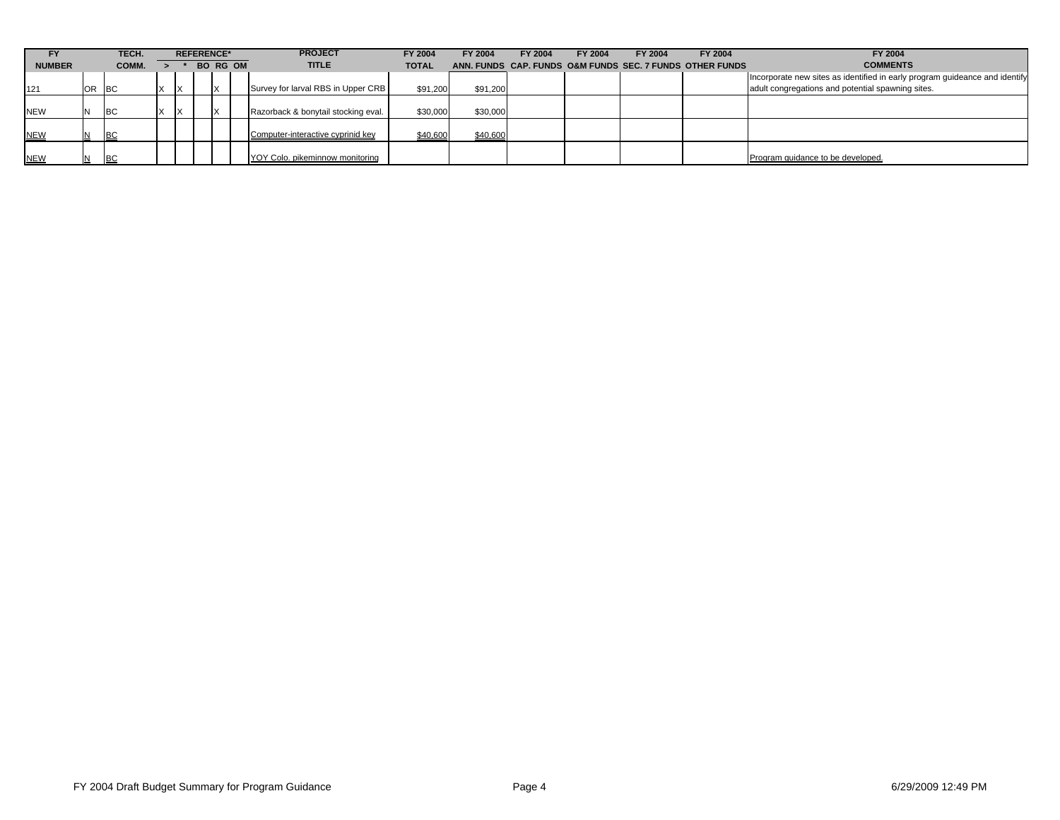| FY            |           | TECH.      |                 | <b>REFERENCE*</b> |  |  | <b>PROJECT</b>                      | FY 2004      | FY 2004  | FY 2004 | FY 2004 | <b>FY 2004</b>                                           | FY 2004 | FY 2004                                                                                                                          |
|---------------|-----------|------------|-----------------|-------------------|--|--|-------------------------------------|--------------|----------|---------|---------|----------------------------------------------------------|---------|----------------------------------------------------------------------------------------------------------------------------------|
| <b>NUMBER</b> |           | COMM.      | <b>BO RG OM</b> |                   |  |  | <b>TITLE</b>                        | <b>TOTAL</b> |          |         |         | ANN, FUNDS CAP, FUNDS O&M FUNDS SEC, 7 FUNDS OTHER FUNDS |         | <b>COMMENTS</b>                                                                                                                  |
| 121           | <b>OR</b> | . IBC      |                 |                   |  |  | Survey for larval RBS in Upper CRB  | \$91,200     | \$91,200 |         |         |                                                          |         | Incorporate new sites as identified in early program guideance and identify<br>adult congregations and potential spawning sites. |
| <b>NEW</b>    |           | <b>IBC</b> |                 |                   |  |  | Razorback & bonytail stocking eval. | \$30,000     | \$30,000 |         |         |                                                          |         |                                                                                                                                  |
| <b>NEW</b>    |           | <b>IBC</b> |                 |                   |  |  | Computer-interactive cyprinid key   | \$40,600     | \$40,600 |         |         |                                                          |         |                                                                                                                                  |
| <b>NEW</b>    |           | BC         |                 |                   |  |  | YOY Colo, pikeminnow monitoring     |              |          |         |         |                                                          |         | Program guidance to be developed.                                                                                                |